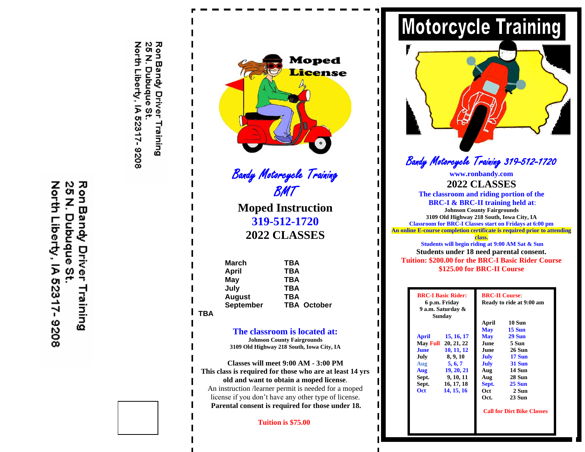모 21<br>25 North Liberty, IA 52317- 9208 P Б  $\mathbf{\overline{u}}$ yandy Dubuque Driver ω Training

Ron Bandy Driver Training<br>25 N. Dubuque St. North Liberty, IA 52317-9208



Bandy Motorcycle Training BMT

**Moped Instruction 319-512-1720 2022 CLASSES**

**March TBA April TBA May TBA July TBA August TBA September TBA October TBA**

## **The classroom is located at:**

**Johnson County Fairgrounds 3109 Old Highway 218 South, Iowa City, IA**

**Classes will meet 9:00 AM - 3:00 PM This class is required for those who are at least 14 yrs old and want to obtain a moped license**. An instruction /learner permit is needed for a moped license if you don't have any other type of license. **Parental consent is required for those under 18.**

 **Tuition is \$75.00**



# Bandy Motorcycle Training 319-512-1720

**www.ronbandy.com 2022 CLASSES The classroom and riding portion of the BRC-I & BRC-II training held at**: **Johnson County Fairgrounds 3109 Old Highway 218 South, Iowa City, IA Classroom for BRC-I Classes start on Fridays at 6:00 pm An online E-course completion certificate is required prior to attending class. Students will begin riding at 9:00 AM Sat & Sun Students under 18 need parental consent. Tuition: \$200.00 for the BRC-I Basic Rider Course \$125.00 for BRC-II Course**

|                 | <b>BRC-I Basic Rider:</b><br>6 p.m. Friday<br>9 a.m. Saturday &<br>Sunday |                                   | <b>BRC-II Course:</b><br>Ready to ride at 9:00 am |  |
|-----------------|---------------------------------------------------------------------------|-----------------------------------|---------------------------------------------------|--|
|                 |                                                                           | April                             | <b>10 Sun</b>                                     |  |
|                 |                                                                           | <b>May</b>                        | <b>15 Sun</b>                                     |  |
| April           | 15, 16, 17                                                                | <b>May</b>                        | <b>29 Sun</b>                                     |  |
| <b>May Full</b> | 20, 21, 22                                                                | June                              | 5 Sun                                             |  |
| <b>June</b>     | 10, 11, 12                                                                | June                              | <b>26 Sun</b>                                     |  |
| July            | 8, 9, 10                                                                  | July                              | <b>17 Sun</b>                                     |  |
| Aug             | 5, 6, 7                                                                   | July                              | <b>31 Sun</b>                                     |  |
| Aug             | 19, 20, 21                                                                | Aug                               | 14 Sun                                            |  |
| Sept.           | 9, 10, 11                                                                 | Aug                               | 28 Sun                                            |  |
| Sept.           | 16, 17, 18                                                                | Sept.                             | $25 \mathrm{Sun}$                                 |  |
| Oct.            | 14, 15, 16                                                                | Oct.                              | 2 Sun                                             |  |
|                 |                                                                           | Oct.                              | <b>23 Sun</b>                                     |  |
|                 |                                                                           | <b>Call for Dirt Bike Classes</b> |                                                   |  |